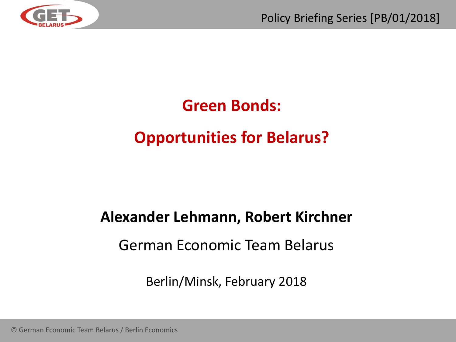

## **Green Bonds:**

## **Opportunities for Belarus?**

# **Alexander Lehmann, Robert Kirchner**

#### German Economic Team Belarus

Berlin/Minsk, February 2018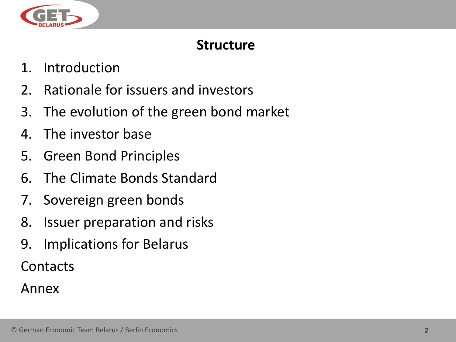

#### **Structure**

- 1. Introduction
- 2. Rationale for issuers and investors
- 3. The evolution of the green bond market
- 4. The investor base
- 5. Green Bond Principles
- 6. The Climate Bonds Standard
- 7. Sovereign green bonds
- 8. Issuer preparation and risks
- 9. Implications for Belarus

Contacts

Annex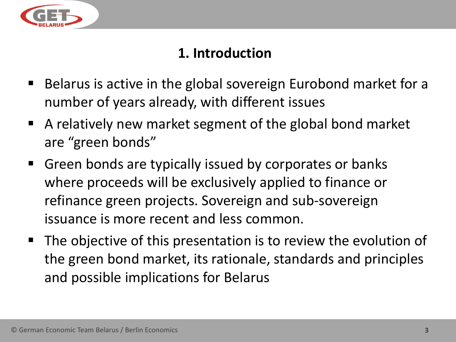

#### **1. Introduction**

- Belarus is active in the global sovereign Eurobond market for a number of years already, with different issues
- A relatively new market segment of the global bond market are "green bonds"
- Green bonds are typically issued by corporates or banks where proceeds will be exclusively applied to finance or refinance green projects. Sovereign and sub-sovereign issuance is more recent and less common.
- The objective of this presentation is to review the evolution of the green bond market, its rationale, standards and principles and possible implications for Belarus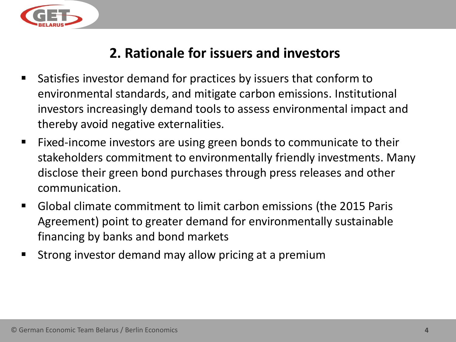

#### **2. Rationale for issuers and investors**

- Satisfies investor demand for practices by issuers that conform to environmental standards, and mitigate carbon emissions. Institutional investors increasingly demand tools to assess environmental impact and thereby avoid negative externalities.
- Fixed-income investors are using green bonds to communicate to their stakeholders commitment to environmentally friendly investments. Many disclose their green bond purchases through press releases and other communication.
- Global climate commitment to limit carbon emissions (the 2015 Paris Agreement) point to greater demand for environmentally sustainable financing by banks and bond markets
- Strong investor demand may allow pricing at a premium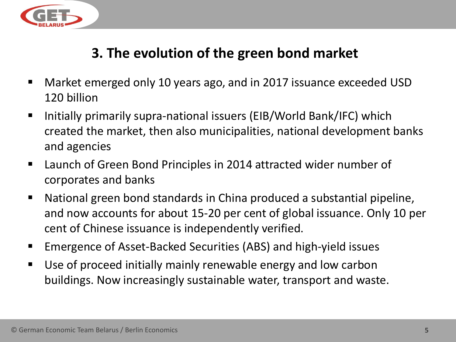

#### **3. The evolution of the green bond market**

- Market emerged only 10 years ago, and in 2017 issuance exceeded USD 120 billion
- Initially primarily supra-national issuers (EIB/World Bank/IFC) which created the market, then also municipalities, national development banks and agencies
- Launch of Green Bond Principles in 2014 attracted wider number of corporates and banks
- National green bond standards in China produced a substantial pipeline, and now accounts for about 15-20 per cent of global issuance. Only 10 per cent of Chinese issuance is independently verified.
- Emergence of Asset-Backed Securities (ABS) and high-yield issues
- Use of proceed initially mainly renewable energy and low carbon buildings. Now increasingly sustainable water, transport and waste.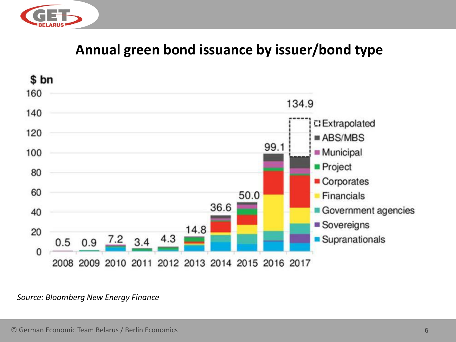

#### **Annual green bond issuance by issuer/bond type**



#### *Source: Bloomberg New Energy Finance*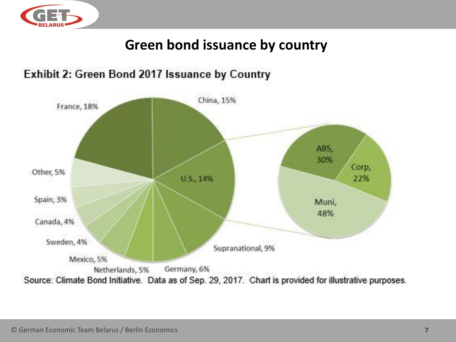

#### **Green bond issuance by country**



#### Exhibit 2: Green Bond 2017 Issuance by Country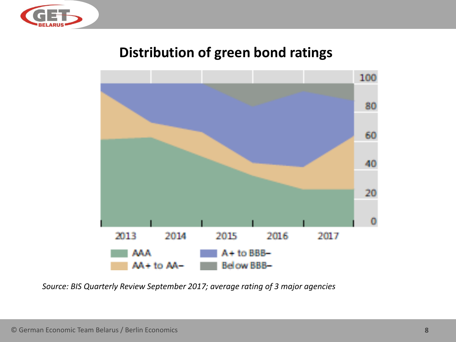

#### **Distribution of green bond ratings**



*Source: BIS Quarterly Review September 2017; average rating of 3 major agencies*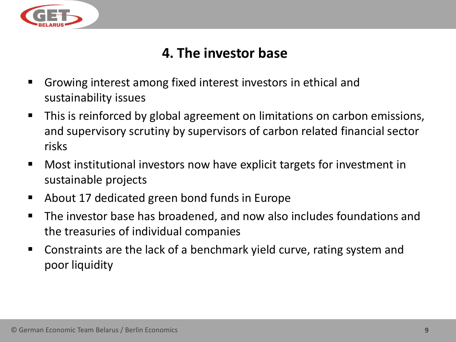

#### **4. The investor base**

- Growing interest among fixed interest investors in ethical and sustainability issues
- This is reinforced by global agreement on limitations on carbon emissions, and supervisory scrutiny by supervisors of carbon related financial sector risks
- Most institutional investors now have explicit targets for investment in sustainable projects
- About 17 dedicated green bond funds in Europe
- The investor base has broadened, and now also includes foundations and the treasuries of individual companies
- Constraints are the lack of a benchmark yield curve, rating system and poor liquidity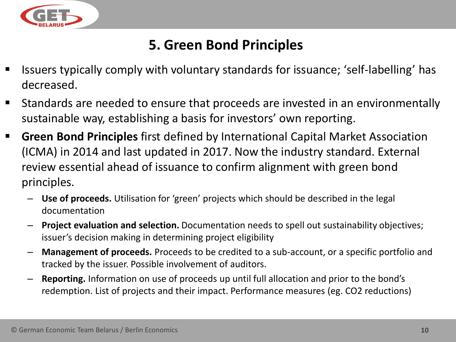

#### **5. Green Bond Principles**

- Issuers typically comply with voluntary standards for issuance; 'self-labelling' has decreased.
- Standards are needed to ensure that proceeds are invested in an environmentally sustainable way, establishing a basis for investors' own reporting.
- **E** Green Bond Principles first defined by International Capital Market Association (ICMA) in 2014 and last updated in 2017. Now the industry standard. External review essential ahead of issuance to confirm alignment with green bond principles.
	- **Use of proceeds.** Utilisation for 'green' projects which should be described in the legal documentation
	- **Project evaluation and selection.** Documentation needs to spell out sustainability objectives; issuer's decision making in determining project eligibility
	- **Management of proceeds.** Proceeds to be credited to a sub-account, or a specific portfolio and tracked by the issuer. Possible involvement of auditors.
	- **Reporting.** Information on use of proceeds up until full allocation and prior to the bond's redemption. List of projects and their impact. Performance measures (eg. CO2 reductions)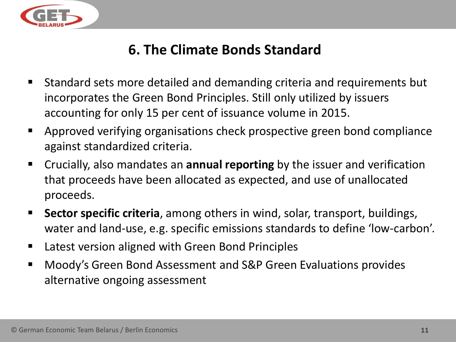

#### **6. The Climate Bonds Standard**

- Standard sets more detailed and demanding criteria and requirements but incorporates the Green Bond Principles. Still only utilized by issuers accounting for only 15 per cent of issuance volume in 2015.
- Approved verifying organisations check prospective green bond compliance against standardized criteria.
- Crucially, also mandates an **annual reporting** by the issuer and verification that proceeds have been allocated as expected, and use of unallocated proceeds.
- **Sector specific criteria**, among others in wind, solar, transport, buildings, water and land-use, e.g. specific emissions standards to define 'low-carbon'.
- Latest version aligned with Green Bond Principles
- Moody's Green Bond Assessment and S&P Green Evaluations provides alternative ongoing assessment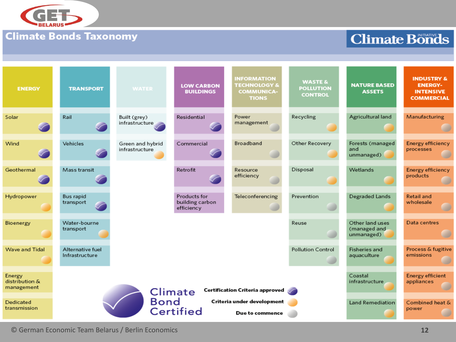

#### **Climate Bonds Taxonomy**

#### **Climate Bonds**

| <b>ENERGY</b>                          | <b>TRANSPORT</b>                                                                                                               | <b>WATER</b>                       | <b>LOW CARBON</b><br><b>BUILDINGS</b>         | <b>INFORMATION</b><br><b>TECHNOLOGY &amp;</b><br><b>COMMUNICA-</b><br><b>TIONS</b> | <b>WASTE &amp;</b><br><b>POLLUTION</b><br><b>CONTROL</b> | <b>NATURE BASED</b><br><b>ASSETS</b>          | <b>INDUSTRY &amp;</b><br><b>ENERGY-</b><br><b>INTENSIVE</b><br><b>COMMERCIAL</b> |
|----------------------------------------|--------------------------------------------------------------------------------------------------------------------------------|------------------------------------|-----------------------------------------------|------------------------------------------------------------------------------------|----------------------------------------------------------|-----------------------------------------------|----------------------------------------------------------------------------------|
| Solar                                  | Rail                                                                                                                           | Built (grey)<br>infrastructure     | Residential                                   | Power<br>management                                                                | Recycling                                                | Agricultural land                             | Manufacturing                                                                    |
| Wind                                   | Vehicles                                                                                                                       | Green and hybrid<br>infrastructure | Commercial                                    | Broadband                                                                          | Other Recovery                                           | Forests (managed<br>and<br>unmanaged)         | Energy efficiency<br>processes                                                   |
| Geothermal                             | Mass transit                                                                                                                   |                                    | Retrofit                                      | Resource<br>efficiency                                                             | Disposal                                                 | Wetlands                                      | Energy efficiency<br>products                                                    |
| Hydropower                             | Bus rapid<br>transport                                                                                                         |                                    | Products for<br>building carbon<br>efficiency | Teleconferencing                                                                   | Prevention                                               | Degraded Lands                                | <b>Retail and</b><br>wholesale                                                   |
| Bioenergy                              | Water-bourne<br>transport                                                                                                      | Reuse                              |                                               |                                                                                    |                                                          | Other land uses<br>(managed and<br>unmanaged) | Data centres                                                                     |
| Wave and Tidal                         | Alternative fuel<br><b>Pollution Control</b><br>Infrastructure                                                                 |                                    |                                               |                                                                                    |                                                          | Fisheries and<br>aquaculture                  | Process & fugitive<br>emissions                                                  |
| Energy<br>distribution &<br>management | Certification Criteria approved<br>Climate<br><b>Bond</b><br>Criteria under development<br><b>Certified</b><br>Due to commence |                                    |                                               |                                                                                    |                                                          | Coastal<br>infrastructure                     | <b>Energy efficient</b><br>appliances                                            |
| Dedicated<br>transmission              |                                                                                                                                |                                    |                                               |                                                                                    |                                                          | Land Remediation                              | Combined heat &<br>power                                                         |

© German Economic Team Belarus / Berlin Economics **12**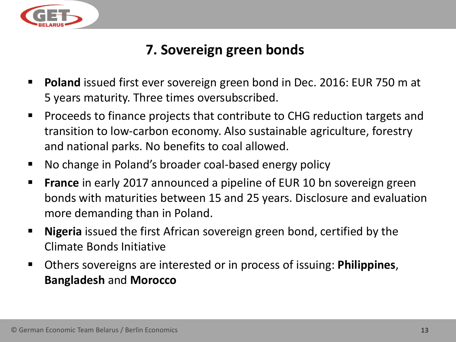

### **7. Sovereign green bonds**

- **Poland** issued first ever sovereign green bond in Dec. 2016: EUR 750 m at 5 years maturity. Three times oversubscribed.
- Proceeds to finance projects that contribute to CHG reduction targets and transition to low-carbon economy. Also sustainable agriculture, forestry and national parks. No benefits to coal allowed.
- No change in Poland's broader coal-based energy policy
- **France** in early 2017 announced a pipeline of EUR 10 bn sovereign green bonds with maturities between 15 and 25 years. Disclosure and evaluation more demanding than in Poland.
- **Nigeria** issued the first African sovereign green bond, certified by the Climate Bonds Initiative
- Others sovereigns are interested or in process of issuing: **Philippines**, **Bangladesh** and **Morocco**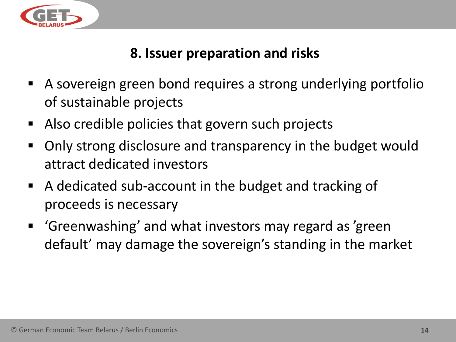

#### **8. Issuer preparation and risks**

- A sovereign green bond requires a strong underlying portfolio of sustainable projects
- Also credible policies that govern such projects
- Only strong disclosure and transparency in the budget would attract dedicated investors
- A dedicated sub-account in the budget and tracking of proceeds is necessary
- 'Greenwashing' and what investors may regard as 'green default' may damage the sovereign's standing in the market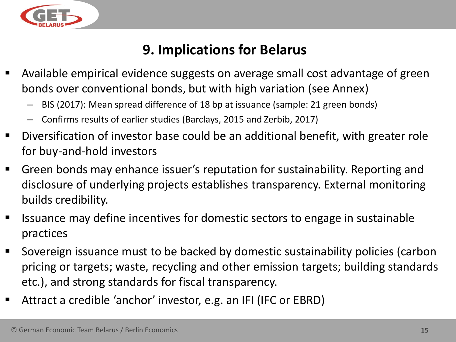

#### **9. Implications for Belarus**

- Available empirical evidence suggests on average small cost advantage of green bonds over conventional bonds, but with high variation (see Annex)
	- BIS (2017): Mean spread difference of 18 bp at issuance (sample: 21 green bonds)
	- Confirms results of earlier studies (Barclays, 2015 and Zerbib, 2017)
- Diversification of investor base could be an additional benefit, with greater role for buy-and-hold investors
- Green bonds may enhance issuer's reputation for sustainability. Reporting and disclosure of underlying projects establishes transparency. External monitoring builds credibility.
- Issuance may define incentives for domestic sectors to engage in sustainable practices
- Sovereign issuance must to be backed by domestic sustainability policies (carbon pricing or targets; waste, recycling and other emission targets; building standards etc.), and strong standards for fiscal transparency.
- Attract a credible 'anchor' investor, e.g. an IFI (IFC or EBRD)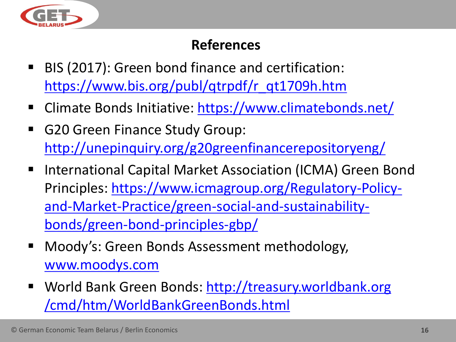

#### **References**

- BIS (2017): Green bond finance and certification: [https://www.bis.org/publ/qtrpdf/r\\_qt1709h.htm](https://www.bis.org/publ/qtrpdf/r_qt1709h.htm)
- Climate Bonds Initiative:<https://www.climatebonds.net/>
- G20 Green Finance Study Group: <http://unepinquiry.org/g20greenfinancerepositoryeng/>
- International Capital Market Association (ICMA) Green Bond [Principles: https://www.icmagroup.org/Regulatory-Policy](https://www.icmagroup.org/Regulatory-Policy-and-Market-Practice/green-social-and-sustainability-bonds/green-bond-principles-gbp/)and-Market-Practice/green-social-and-sustainabilitybonds/green-bond-principles-gbp/
- Moody's: Green Bonds Assessment methodology, [www.moodys.com](http://www.moodys.com/)
- World Bank Green Bonds: http://treasury.worldbank.org /cmd/htm/WorldBankGreenBonds.html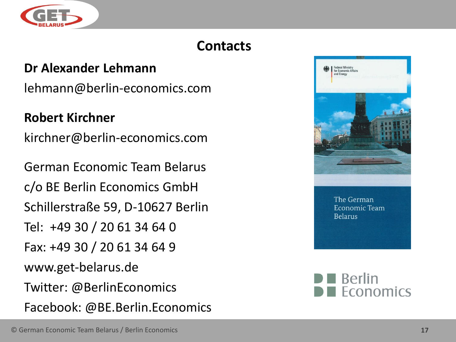

### **Contacts**

#### **Dr Alexander Lehmann**

lehmann@berlin-economics.com

#### **Robert Kirchner**

kirchner@berlin-economics.com

German Economic Team Belarus c/o BE Berlin Economics GmbH Schillerstraße 59, D-10627 Berlin Tel: +49 30 / 20 61 34 64 0 Fax: +49 30 / 20 61 34 64 9 www.get-belarus.de Twitter: @BerlinEconomics Facebook: @BE.Berlin.Economics



The German Economic Team **Belarus**